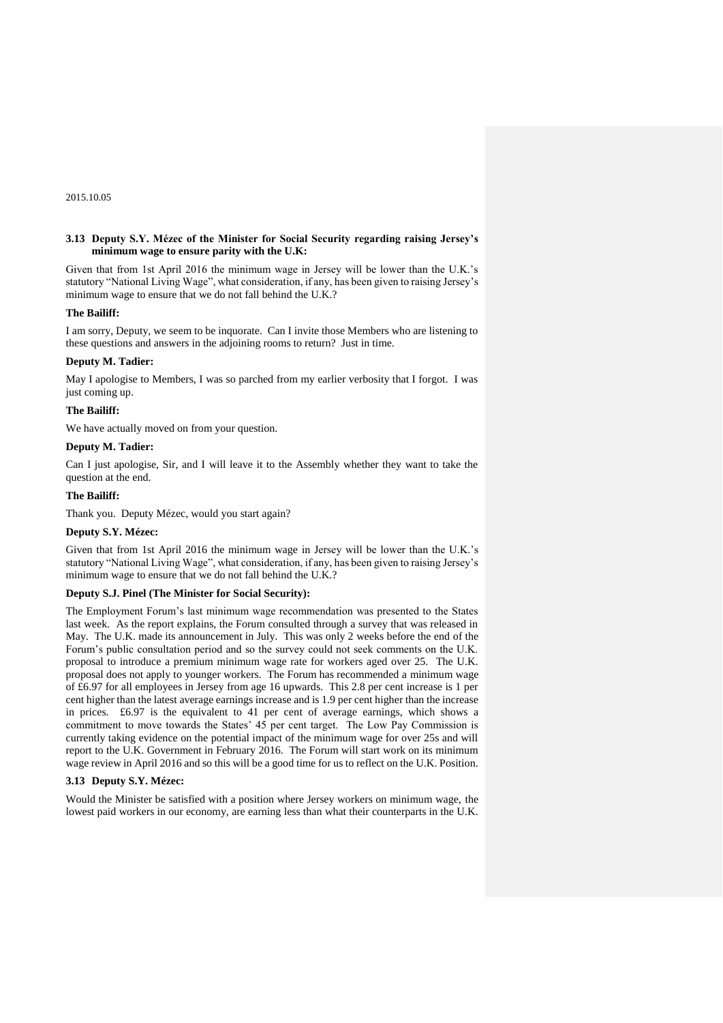2015.10.05

### **3.13 Deputy S.Y. Mézec of the Minister for Social Security regarding raising Jersey's minimum wage to ensure parity with the U.K:**

Given that from 1st April 2016 the minimum wage in Jersey will be lower than the U.K.'s statutory "National Living Wage", what consideration, if any, has been given to raising Jersey's minimum wage to ensure that we do not fall behind the U.K.?

#### **The Bailiff:**

I am sorry, Deputy, we seem to be inquorate. Can I invite those Members who are listening to these questions and answers in the adjoining rooms to return? Just in time.

### **Deputy M. Tadier:**

May I apologise to Members, I was so parched from my earlier verbosity that I forgot. I was just coming up.

#### **The Bailiff:**

We have actually moved on from your question.

## **Deputy M. Tadier:**

Can I just apologise, Sir, and I will leave it to the Assembly whether they want to take the question at the end.

### **The Bailiff:**

Thank you. Deputy Mézec, would you start again?

#### **Deputy S.Y. Mézec:**

Given that from 1st April 2016 the minimum wage in Jersey will be lower than the U.K.'s statutory "National Living Wage", what consideration, if any, has been given to raising Jersey's minimum wage to ensure that we do not fall behind the U.K.?

### **Deputy S.J. Pinel (The Minister for Social Security):**

The Employment Forum's last minimum wage recommendation was presented to the States last week. As the report explains, the Forum consulted through a survey that was released in May. The U.K. made its announcement in July. This was only 2 weeks before the end of the Forum's public consultation period and so the survey could not seek comments on the U.K. proposal to introduce a premium minimum wage rate for workers aged over 25. The U.K. proposal does not apply to younger workers. The Forum has recommended a minimum wage of £6.97 for all employees in Jersey from age 16 upwards. This 2.8 per cent increase is 1 per cent higher than the latest average earnings increase and is 1.9 per cent higher than the increase in prices. £6.97 is the equivalent to 41 per cent of average earnings, which shows a commitment to move towards the States' 45 per cent target. The Low Pay Commission is currently taking evidence on the potential impact of the minimum wage for over 25s and will report to the U.K. Government in February 2016. The Forum will start work on its minimum wage review in April 2016 and so this will be a good time for us to reflect on the U.K. Position.

### **3.13 Deputy S.Y. Mézec:**

Would the Minister be satisfied with a position where Jersey workers on minimum wage, the lowest paid workers in our economy, are earning less than what their counterparts in the U.K.